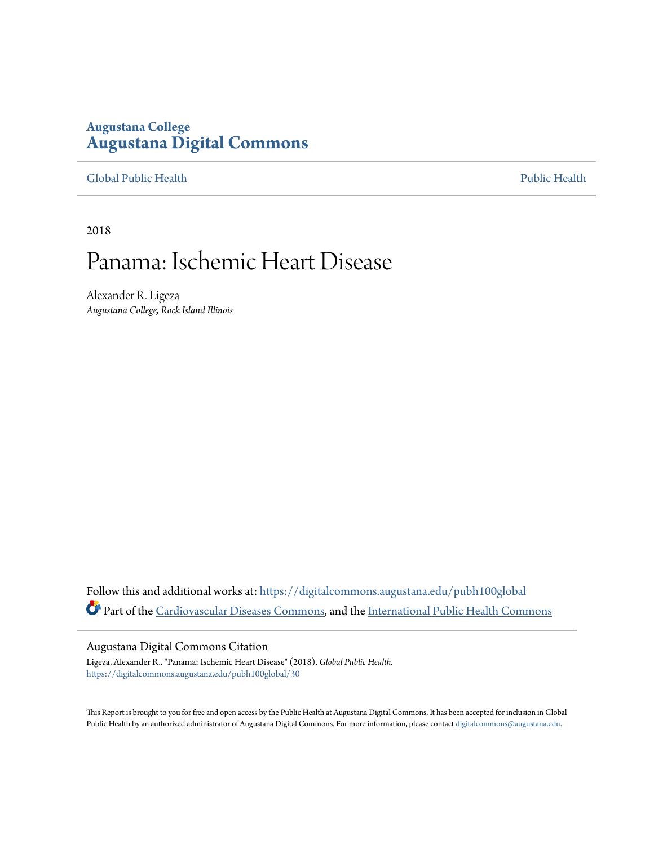# **Augustana College [Augustana Digital Commons](https://digitalcommons.augustana.edu?utm_source=digitalcommons.augustana.edu%2Fpubh100global%2F30&utm_medium=PDF&utm_campaign=PDFCoverPages)**

[Global Public Health](https://digitalcommons.augustana.edu/pubh100global?utm_source=digitalcommons.augustana.edu%2Fpubh100global%2F30&utm_medium=PDF&utm_campaign=PDFCoverPages) [Public Health](https://digitalcommons.augustana.edu/publichealth?utm_source=digitalcommons.augustana.edu%2Fpubh100global%2F30&utm_medium=PDF&utm_campaign=PDFCoverPages)

2018

# Panama: Ischemic Heart Disease

Alexander R. Ligeza *Augustana College, Rock Island Illinois*

Follow this and additional works at: [https://digitalcommons.augustana.edu/pubh100global](https://digitalcommons.augustana.edu/pubh100global?utm_source=digitalcommons.augustana.edu%2Fpubh100global%2F30&utm_medium=PDF&utm_campaign=PDFCoverPages) Part of the [Cardiovascular Diseases Commons,](http://network.bepress.com/hgg/discipline/929?utm_source=digitalcommons.augustana.edu%2Fpubh100global%2F30&utm_medium=PDF&utm_campaign=PDFCoverPages) and the [International Public Health Commons](http://network.bepress.com/hgg/discipline/746?utm_source=digitalcommons.augustana.edu%2Fpubh100global%2F30&utm_medium=PDF&utm_campaign=PDFCoverPages)

#### Augustana Digital Commons Citation

Ligeza, Alexander R.. "Panama: Ischemic Heart Disease" (2018). *Global Public Health.* [https://digitalcommons.augustana.edu/pubh100global/30](https://digitalcommons.augustana.edu/pubh100global/30?utm_source=digitalcommons.augustana.edu%2Fpubh100global%2F30&utm_medium=PDF&utm_campaign=PDFCoverPages)

This Report is brought to you for free and open access by the Public Health at Augustana Digital Commons. It has been accepted for inclusion in Global Public Health by an authorized administrator of Augustana Digital Commons. For more information, please contact [digitalcommons@augustana.edu.](mailto:digitalcommons@augustana.edu)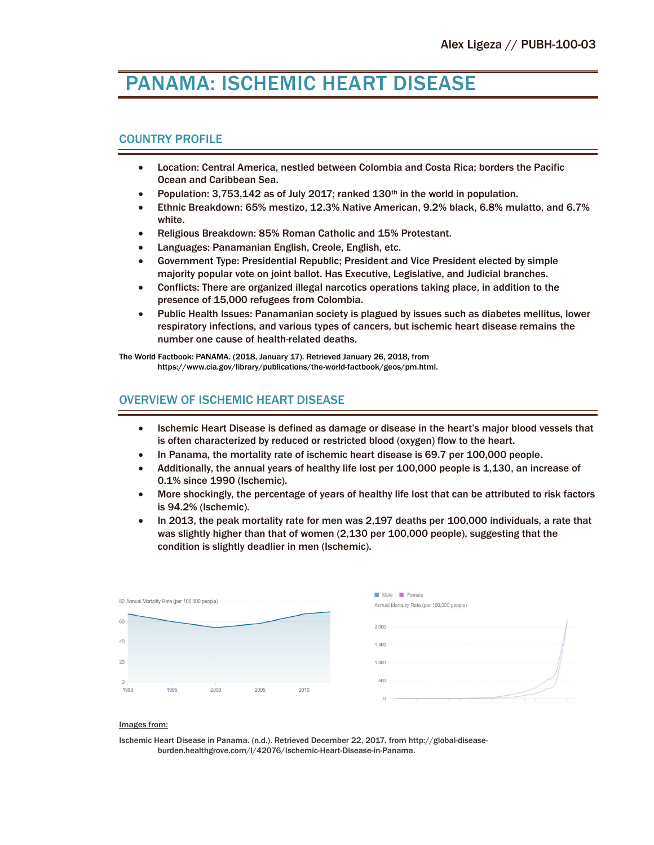# PANAMA: ISCHEMIC HEART DISEASE

#### COUNTRY PROFILE

- Location: Central America, nestled between Colombia and Costa Rica; borders the Pacific Ocean and Caribbean Sea.
- Population: 3,753,142 as of July 2017; ranked 130<sup>th</sup> in the world in population.
- Ethnic Breakdown: 65% mestizo, 12.3% Native American, 9.2% black, 6.8% mulatto, and 6.7% white.
- Religious Breakdown: 85% Roman Catholic and 15% Protestant.
- Languages: Panamanian English, Creole, English, etc.
- Government Type: Presidential Republic; President and Vice President elected by simple majority popular vote on joint ballot. Has Executive, Legislative, and Judicial branches.
- Conflicts: There are organized illegal narcotics operations taking place, in addition to the presence of 15,000 refugees from Colombia.
- Public Health Issues: Panamanian society is plagued by issues such as diabetes mellitus, lower respiratory infections, and various types of cancers, but ischemic heart disease remains the number one cause of health-related deaths.

The World Factbook: PANAMA. (2018, January 17). Retrieved January 26, 2018, from https://www.cia.gov/library/publications/the-world-factbook/geos/pm.html.

## OVERVIEW OF ISCHEMIC HEART DISEASE

- Ischemic Heart Disease is defined as damage or disease in the heart's major blood vessels that is often characterized by reduced or restricted blood (oxygen) flow to the heart.
- In Panama, the mortality rate of ischemic heart disease is 69.7 per 100,000 people.
- Additionally, the annual years of healthy life lost per 100,000 people is 1,130, an increase of 0.1% since 1990 (Ischemic).
- More shockingly, the percentage of years of healthy life lost that can be attributed to risk factors is 94.2% (Ischemic).
- In 2013, the peak mortality rate for men was 2,197 deaths per 100,000 individuals, a rate that was slightly higher than that of women (2,130 per 100,000 people), suggesting that the condition is slightly deadlier in men (Ischemic).



#### Images from:

Ischemic Heart Disease in Panama. (n.d.). Retrieved December 22, 2017, from http://global-diseaseburden.healthgrove.com/l/42076/Ischemic-Heart-Disease-in-Panama.